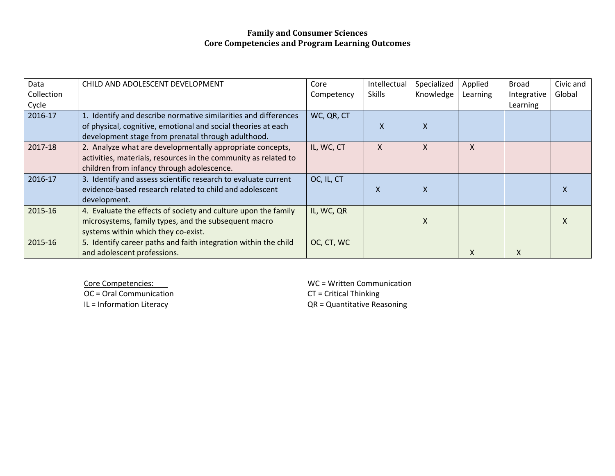| Data<br>Collection | CHILD AND ADOLESCENT DEVELOPMENT                                                                                                                                           | Core<br>Competency | Intellectual<br><b>Skills</b> | Specialized<br>Knowledge | Applied<br>Learning | Broad<br>Integrative | Civic and<br>Global |
|--------------------|----------------------------------------------------------------------------------------------------------------------------------------------------------------------------|--------------------|-------------------------------|--------------------------|---------------------|----------------------|---------------------|
| Cycle<br>2016-17   | 1. Identify and describe normative similarities and differences                                                                                                            | WC, QR, CT         |                               |                          |                     | Learning             |                     |
|                    | of physical, cognitive, emotional and social theories at each<br>development stage from prenatal through adulthood.                                                        |                    | X                             | X                        |                     |                      |                     |
| 2017-18            | 2. Analyze what are developmentally appropriate concepts,<br>activities, materials, resources in the community as related to<br>children from infancy through adolescence. | IL, WC, CT         | X                             | X                        | X                   |                      |                     |
| 2016-17            | 3. Identify and assess scientific research to evaluate current<br>evidence-based research related to child and adolescent<br>development.                                  | OC, IL, CT         | $\boldsymbol{\mathsf{X}}$     | X                        |                     |                      |                     |
| 2015-16            | 4. Evaluate the effects of society and culture upon the family<br>microsystems, family types, and the subsequent macro<br>systems within which they co-exist.              | IL, WC, QR         |                               | X                        |                     |                      |                     |
| 2015-16            | 5. Identify career paths and faith integration within the child<br>and adolescent professions.                                                                             | OC, CT, WC         |                               |                          | X                   | X                    |                     |

**Core Competencies:** 

OC <sup>=</sup> Oral Communication CT <sup>=</sup> Critical Thinking IL <sup>=</sup> Information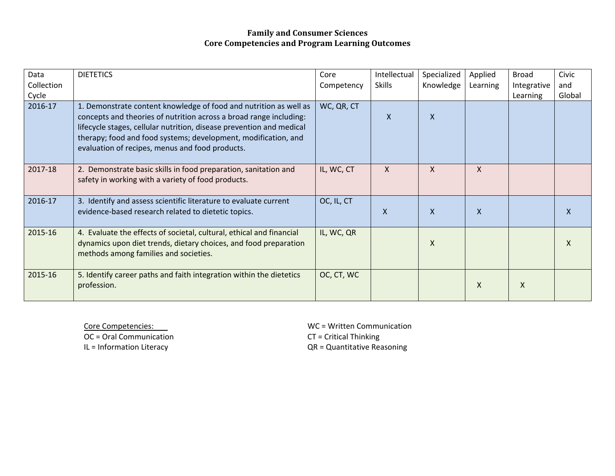| Data<br>Collection<br>Cycle | <b>DIETETICS</b>                                                                                                                                                                                                                                                                                                                     | Core<br>Competency | Intellectual<br><b>Skills</b> | Specialized<br>Knowledge | Applied<br>Learning | <b>Broad</b><br>Integrative<br>Learning | Civic<br>and<br>Global |
|-----------------------------|--------------------------------------------------------------------------------------------------------------------------------------------------------------------------------------------------------------------------------------------------------------------------------------------------------------------------------------|--------------------|-------------------------------|--------------------------|---------------------|-----------------------------------------|------------------------|
| 2016-17                     | 1. Demonstrate content knowledge of food and nutrition as well as<br>concepts and theories of nutrition across a broad range including:<br>lifecycle stages, cellular nutrition, disease prevention and medical<br>therapy; food and food systems; development, modification, and<br>evaluation of recipes, menus and food products. | WC, QR, CT         | X                             | $\mathsf{X}$             |                     |                                         |                        |
| 2017-18                     | 2. Demonstrate basic skills in food preparation, sanitation and<br>safety in working with a variety of food products.                                                                                                                                                                                                                | IL, WC, CT         | $\mathsf{X}$                  | $\mathsf{X}$             | X                   |                                         |                        |
| 2016-17                     | 3. Identify and assess scientific literature to evaluate current<br>evidence-based research related to dietetic topics.                                                                                                                                                                                                              | OC, IL, CT         | $\mathsf{X}$                  | $\mathsf{X}$             | X                   |                                         | X                      |
| 2015-16                     | 4. Evaluate the effects of societal, cultural, ethical and financial<br>dynamics upon diet trends, dietary choices, and food preparation<br>methods among families and societies.                                                                                                                                                    | IL, WC, QR         |                               | X                        |                     |                                         | X                      |
| 2015-16                     | 5. Identify career paths and faith integration within the dietetics<br>profession.                                                                                                                                                                                                                                                   | OC, CT, WC         |                               |                          | X                   | X                                       |                        |

Core Competencies: OC <sup>=</sup> Oral Communication CT <sup>=</sup> Critical Thinking IL <sup>=</sup> Information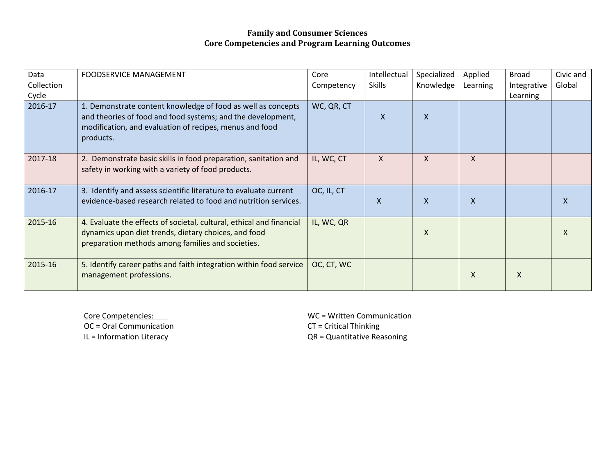| Data<br>Collection<br>Cycle | <b>FOODSERVICE MANAGEMENT</b>                                                                                                                                                                       | Core<br>Competency | Intellectual<br><b>Skills</b> | Specialized<br>Knowledge | Applied<br>Learning | <b>Broad</b><br>Integrative<br>Learning | Civic and<br>Global |
|-----------------------------|-----------------------------------------------------------------------------------------------------------------------------------------------------------------------------------------------------|--------------------|-------------------------------|--------------------------|---------------------|-----------------------------------------|---------------------|
| 2016-17                     | 1. Demonstrate content knowledge of food as well as concepts<br>and theories of food and food systems; and the development,<br>modification, and evaluation of recipes, menus and food<br>products. | WC, QR, CT         | X                             | $\mathsf{x}$             |                     |                                         |                     |
| 2017-18                     | 2. Demonstrate basic skills in food preparation, sanitation and<br>safety in working with a variety of food products.                                                                               | IL, WC, CT         | X                             | X                        | X                   |                                         |                     |
| 2016-17                     | 3. Identify and assess scientific literature to evaluate current<br>evidence-based research related to food and nutrition services.                                                                 | OC, IL, CT         | $\boldsymbol{\mathsf{X}}$     | $\mathsf{x}$             | X                   |                                         | X                   |
| 2015-16                     | 4. Evaluate the effects of societal, cultural, ethical and financial<br>dynamics upon diet trends, dietary choices, and food<br>preparation methods among families and societies.                   | IL, WC, QR         |                               | X                        |                     |                                         | X                   |
| 2015-16                     | 5. Identify career paths and faith integration within food service<br>management professions.                                                                                                       | OC, CT, WC         |                               |                          | X                   | X                                       |                     |

Core Competencies: OC <sup>=</sup> Oral Communication CT <sup>=</sup> Critical Thinking IL <sup>=</sup> Information